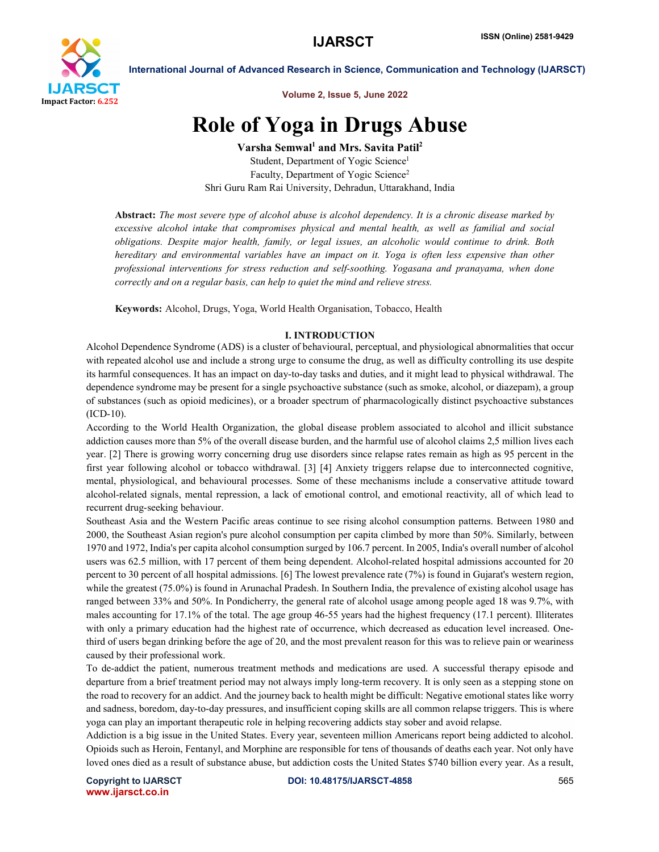

International Journal of Advanced Research in Science, Communication and Technology (IJARSCT)

Volume 2, Issue 5, June 2022

# Role of Yoga in Drugs Abuse

Varsha Semwal<sup>1</sup> and Mrs. Savita Patil<sup>2</sup> Student, Department of Yogic Science<sup>1</sup> Faculty, Department of Yogic Science<sup>2</sup> Shri Guru Ram Rai University, Dehradun, Uttarakhand, India

Abstract: *The most severe type of alcohol abuse is alcohol dependency. It is a chronic disease marked by excessive alcohol intake that compromises physical and mental health, as well as familial and social obligations. Despite major health, family, or legal issues, an alcoholic would continue to drink. Both hereditary and environmental variables have an impact on it. Yoga is often less expensive than other professional interventions for stress reduction and self-soothing. Yogasana and pranayama, when done correctly and on a regular basis, can help to quiet the mind and relieve stress.*

Keywords: Alcohol, Drugs, Yoga, World Health Organisation, Tobacco, Health

### I. INTRODUCTION

Alcohol Dependence Syndrome (ADS) is a cluster of behavioural, perceptual, and physiological abnormalities that occur with repeated alcohol use and include a strong urge to consume the drug, as well as difficulty controlling its use despite its harmful consequences. It has an impact on day-to-day tasks and duties, and it might lead to physical withdrawal. The dependence syndrome may be present for a single psychoactive substance (such as smoke, alcohol, or diazepam), a group of substances (such as opioid medicines), or a broader spectrum of pharmacologically distinct psychoactive substances (ICD-10).

According to the World Health Organization, the global disease problem associated to alcohol and illicit substance addiction causes more than 5% of the overall disease burden, and the harmful use of alcohol claims 2,5 million lives each year. [2] There is growing worry concerning drug use disorders since relapse rates remain as high as 95 percent in the first year following alcohol or tobacco withdrawal. [3] [4] Anxiety triggers relapse due to interconnected cognitive, mental, physiological, and behavioural processes. Some of these mechanisms include a conservative attitude toward alcohol-related signals, mental repression, a lack of emotional control, and emotional reactivity, all of which lead to recurrent drug-seeking behaviour.

Southeast Asia and the Western Pacific areas continue to see rising alcohol consumption patterns. Between 1980 and 2000, the Southeast Asian region's pure alcohol consumption per capita climbed by more than 50%. Similarly, between 1970 and 1972, India's per capita alcohol consumption surged by 106.7 percent. In 2005, India's overall number of alcohol users was 62.5 million, with 17 percent of them being dependent. Alcohol-related hospital admissions accounted for 20 percent to 30 percent of all hospital admissions. [6] The lowest prevalence rate (7%) is found in Gujarat's western region, while the greatest (75.0%) is found in Arunachal Pradesh. In Southern India, the prevalence of existing alcohol usage has ranged between 33% and 50%. In Pondicherry, the general rate of alcohol usage among people aged 18 was 9.7%, with males accounting for 17.1% of the total. The age group 46-55 years had the highest frequency (17.1 percent). Illiterates with only a primary education had the highest rate of occurrence, which decreased as education level increased. Onethird of users began drinking before the age of 20, and the most prevalent reason for this was to relieve pain or weariness caused by their professional work.

To de-addict the patient, numerous treatment methods and medications are used. A successful therapy episode and departure from a brief treatment period may not always imply long-term recovery. It is only seen as a stepping stone on the road to recovery for an addict. And the journey back to health might be difficult: Negative emotional states like worry and sadness, boredom, day-to-day pressures, and insufficient coping skills are all common relapse triggers. This is where yoga can play an important therapeutic role in helping recovering addicts stay sober and avoid relapse.

Addiction is a big issue in the United States. Every year, seventeen million Americans report being addicted to alcohol. Opioids such as Heroin, Fentanyl, and Morphine are responsible for tens of thousands of deaths each year. Not only have loved ones died as a result of substance abuse, but addiction costs the United States \$740 billion every year. As a result,

www.ijarsct.co.in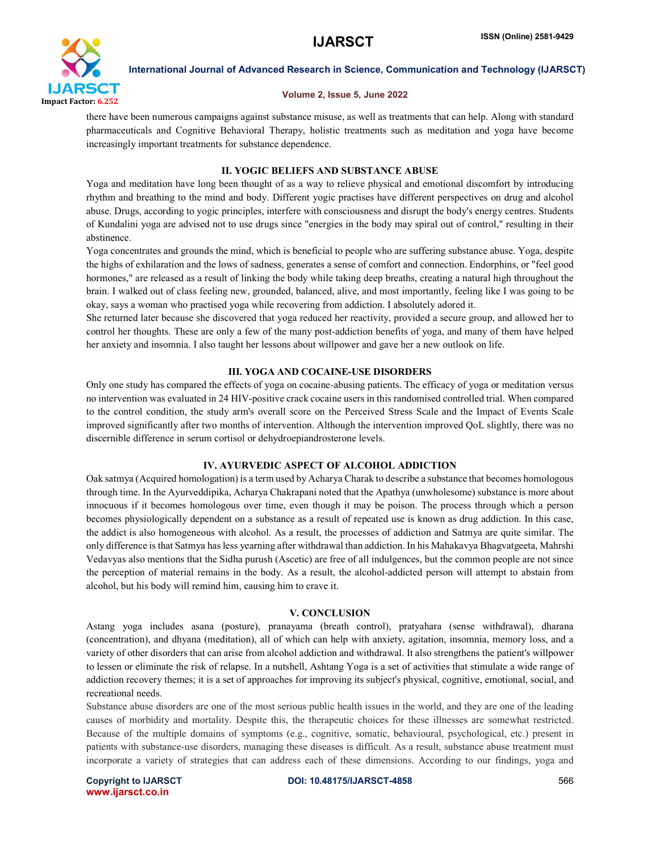

International Journal of Advanced Research in Science, Communication and Technology (IJARSCT)

### Volume 2, Issue 5, June 2022

there have been numerous campaigns against substance misuse, as well as treatments that can help. Along with standard pharmaceuticals and Cognitive Behavioral Therapy, holistic treatments such as meditation and yoga have become increasingly important treatments for substance dependence.

# II. YOGIC BELIEFS AND SUBSTANCE ABUSE

Yoga and meditation have long been thought of as a way to relieve physical and emotional discomfort by introducing rhythm and breathing to the mind and body. Different yogic practises have different perspectives on drug and alcohol abuse. Drugs, according to yogic principles, interfere with consciousness and disrupt the body's energy centres. Students of Kundalini yoga are advised not to use drugs since "energies in the body may spiral out of control," resulting in their abstinence.

Yoga concentrates and grounds the mind, which is beneficial to people who are suffering substance abuse. Yoga, despite the highs of exhilaration and the lows of sadness, generates a sense of comfort and connection. Endorphins, or "feel good hormones," are released as a result of linking the body while taking deep breaths, creating a natural high throughout the brain. I walked out of class feeling new, grounded, balanced, alive, and most importantly, feeling like I was going to be okay, says a woman who practised yoga while recovering from addiction. I absolutely adored it.

She returned later because she discovered that yoga reduced her reactivity, provided a secure group, and allowed her to control her thoughts. These are only a few of the many post-addiction benefits of yoga, and many of them have helped her anxiety and insomnia. I also taught her lessons about willpower and gave her a new outlook on life.

# III. YOGA AND COCAINE-USE DISORDERS

Only one study has compared the effects of yoga on cocaine-abusing patients. The efficacy of yoga or meditation versus no intervention was evaluated in 24 HIV-positive crack cocaine users in this randomised controlled trial. When compared to the control condition, the study arm's overall score on the Perceived Stress Scale and the Impact of Events Scale improved significantly after two months of intervention. Although the intervention improved QoL slightly, there was no discernible difference in serum cortisol or dehydroepiandrosterone levels.

### IV. AYURVEDIC ASPECT OF ALCOHOL ADDICTION

Oak satmya (Acquired homologation) is a term used by Acharya Charak to describe a substance that becomes homologous through time. In the Ayurveddipika, Acharya Chakrapani noted that the Apathya (unwholesome) substance is more about innocuous if it becomes homologous over time, even though it may be poison. The process through which a person becomes physiologically dependent on a substance as a result of repeated use is known as drug addiction. In this case, the addict is also homogeneous with alcohol. As a result, the processes of addiction and Satmya are quite similar. The only difference is that Satmya has less yearning after withdrawal than addiction. In his Mahakavya Bhagvatgeeta, Mahrshi Vedavyas also mentions that the Sidha purush (Ascetic) are free of all indulgences, but the common people are not since the perception of material remains in the body. As a result, the alcohol-addicted person will attempt to abstain from alcohol, but his body will remind him, causing him to crave it.

### V. CONCLUSION

Astang yoga includes asana (posture), pranayama (breath control), pratyahara (sense withdrawal), dharana (concentration), and dhyana (meditation), all of which can help with anxiety, agitation, insomnia, memory loss, and a variety of other disorders that can arise from alcohol addiction and withdrawal. It also strengthens the patient's willpower to lessen or eliminate the risk of relapse. In a nutshell, Ashtang Yoga is a set of activities that stimulate a wide range of addiction recovery themes; it is a set of approaches for improving its subject's physical, cognitive, emotional, social, and recreational needs.

Substance abuse disorders are one of the most serious public health issues in the world, and they are one of the leading causes of morbidity and mortality. Despite this, the therapeutic choices for these illnesses are somewhat restricted. Because of the multiple domains of symptoms (e.g., cognitive, somatic, behavioural, psychological, etc.) present in patients with substance-use disorders, managing these diseases is difficult. As a result, substance abuse treatment must incorporate a variety of strategies that can address each of these dimensions. According to our findings, yoga and

www.ijarsct.co.in